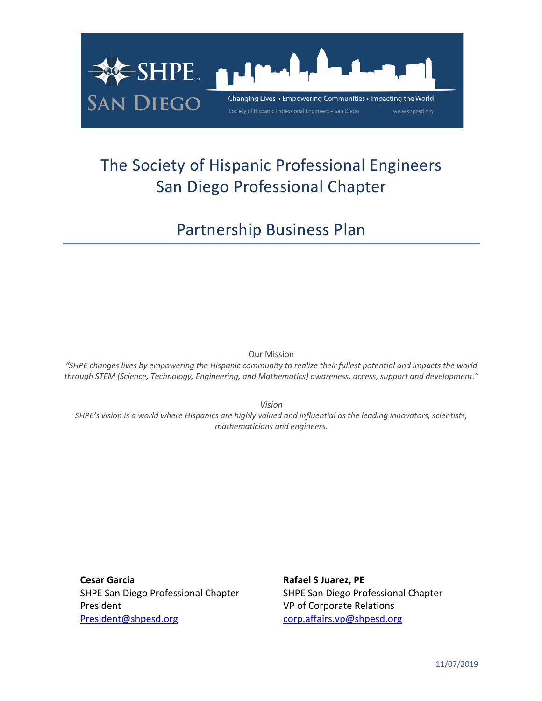

# The Society of Hispanic Professional Engineers San Diego Professional Chapter

Partnership Business Plan

Our Mission

*"SHPE changes lives by empowering the Hispanic community to realize their fullest potential and impacts the world through STEM (Science, Technology, Engineering, and Mathematics) awareness, access, support and development."*

*Vision* 

*SHPE's vision is a world where Hispanics are highly valued and influential as the leading innovators, scientists, mathematicians and engineers.*

**Cesar Garcia Rafael S Juarez, PE** President **President** VP of Corporate Relations President@shpesd.org corp.affairs.vp@shpesd.org

SHPE San Diego Professional Chapter SHPE San Diego Professional Chapter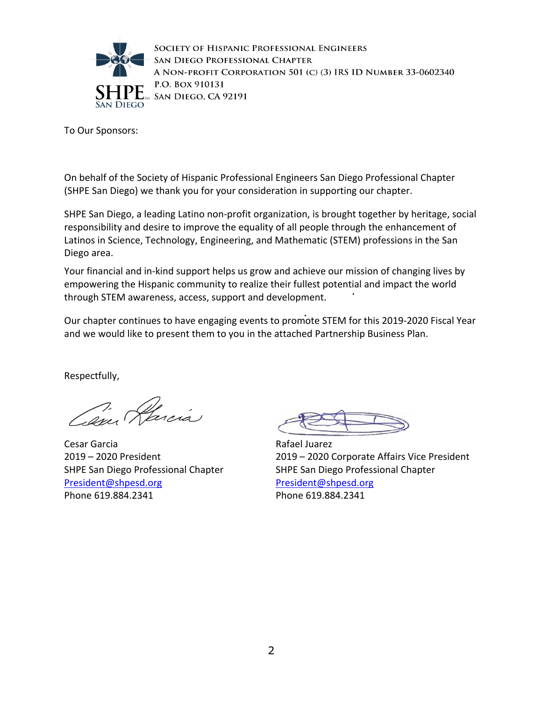

SOCIETY OF HISPANIC PROFESSIONAL ENGINEERS SAN DIEGO PROFESSIONAL CHAPTER A NON-PROFIT CORPORATION 501 (C) (3) IRS ID NUMBER 33-0602340 P.O. BOX 910131 SAN DIEGO, CA 92191

To Our Sponsors:

On behalf of the Society of Hispanic Professional Engineers San Diego Professional Chapter (SHPE San Diego) we thank you for your consideration in supporting our chapter.

SHPE San Diego, a leading Latino non-profit organization, is brought together by heritage, social responsibility and desire to improve the equality of all people through the enhancement of Latinos in Science, Technology, Engineering, and Mathematic (STEM) professions in the San Diego area.

Your financial and in-kind support helps us grow and achieve our mission of changing lives by empowering the Hispanic community to realize their fullest potential and impact the world through STEM awareness, access, support and development.

Our chapter continues to have engaging events to promote STEM for this 2019-2020 Fiscal Year and we would like to present them to you in the attached Partnership Business Plan.

Respectfully,

Cam Harcía

Cesar Garcia 2019 – 2020 President SHPE San Diego Professional Chapter President@shpesd.org Phone 619.884.2341

Rafael Juarez 2019 – 2020 Corporate Affairs Vice President SHPE San Diego Professional Chapter President@shpesd.org Phone 619.884.2341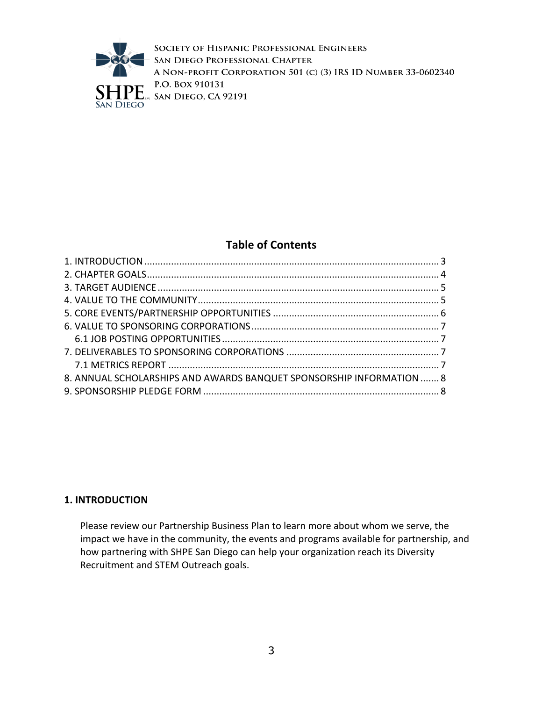

SOCIETY OF HISPANIC PROFESSIONAL ENGINEERS SAN DIEGO PROFESSIONAL CHAPTER A NON-PROFIT CORPORATION 501 (C) (3) IRS ID NUMBER 33-0602340 P.O. BOX 910131  $\sum_{s}$  i.o. box  $\overline{f}$  iolstone  $\sum_{s}$  SAN DIEGO, CA 92191

# **Table of Contents**

| 8. ANNUAL SCHOLARSHIPS AND AWARDS BANQUET SPONSORSHIP INFORMATION  8 |  |
|----------------------------------------------------------------------|--|
|                                                                      |  |

## **1. INTRODUCTION**

Please review our Partnership Business Plan to learn more about whom we serve, the impact we have in the community, the events and programs available for partnership, and how partnering with SHPE San Diego can help your organization reach its Diversity Recruitment and STEM Outreach goals.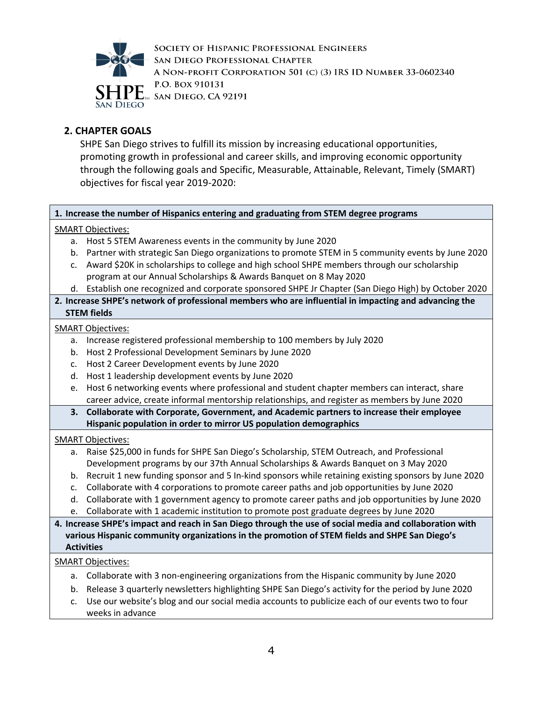

SOCIETY OF HISPANIC PROFESSIONAL ENGINEERS SAN DIEGO PROFESSIONAL CHAPTER A NON-PROFIT CORPORATION 501 (C) (3) IRS ID NUMBER 33-0602340 P.O. BOX 910131  $\Lambda$  San Diego, CA 92191

# **2. CHAPTER GOALS**

SHPE San Diego strives to fulfill its mission by increasing educational opportunities, promoting growth in professional and career skills, and improving economic opportunity through the following goals and Specific, Measurable, Attainable, Relevant, Timely (SMART) objectives for fiscal year 2019-2020:

#### **1. Increase the number of Hispanics entering and graduating from STEM degree programs**

#### SMART Objectives:

- a. Host 5 STEM Awareness events in the community by June 2020
- b. Partner with strategic San Diego organizations to promote STEM in 5 community events by June 2020
- c. Award \$20K in scholarships to college and high school SHPE members through our scholarship program at our Annual Scholarships & Awards Banquet on 8 May 2020
- d. Establish one recognized and corporate sponsored SHPE Jr Chapter (San Diego High) by October 2020
- **2. Increase SHPE's network of professional members who are influential in impacting and advancing the STEM fields**

#### SMART Objectives:

- a. Increase registered professional membership to 100 members by July 2020
- b. Host 2 Professional Development Seminars by June 2020
- c. Host 2 Career Development events by June 2020
- d. Host 1 leadership development events by June 2020
- e. Host 6 networking events where professional and student chapter members can interact, share career advice, create informal mentorship relationships, and register as members by June 2020
- **3. Collaborate with Corporate, Government, and Academic partners to increase their employee Hispanic population in order to mirror US population demographics**

#### SMART Objectives:

- a. Raise \$25,000 in funds for SHPE San Diego's Scholarship, STEM Outreach, and Professional Development programs by our 37th Annual Scholarships & Awards Banquet on 3 May 2020
- b. Recruit 1 new funding sponsor and 5 In-kind sponsors while retaining existing sponsors by June 2020
- c. Collaborate with 4 corporations to promote career paths and job opportunities by June 2020
- d. Collaborate with 1 government agency to promote career paths and job opportunities by June 2020
- e. Collaborate with 1 academic institution to promote post graduate degrees by June 2020

#### **4. Increase SHPE's impact and reach in San Diego through the use of social media and collaboration with various Hispanic community organizations in the promotion of STEM fields and SHPE San Diego's Activities**

#### SMART Objectives:

- a. Collaborate with 3 non-engineering organizations from the Hispanic community by June 2020
- b. Release 3 quarterly newsletters highlighting SHPE San Diego's activity for the period by June 2020
- c. Use our website's blog and our social media accounts to publicize each of our events two to four weeks in advance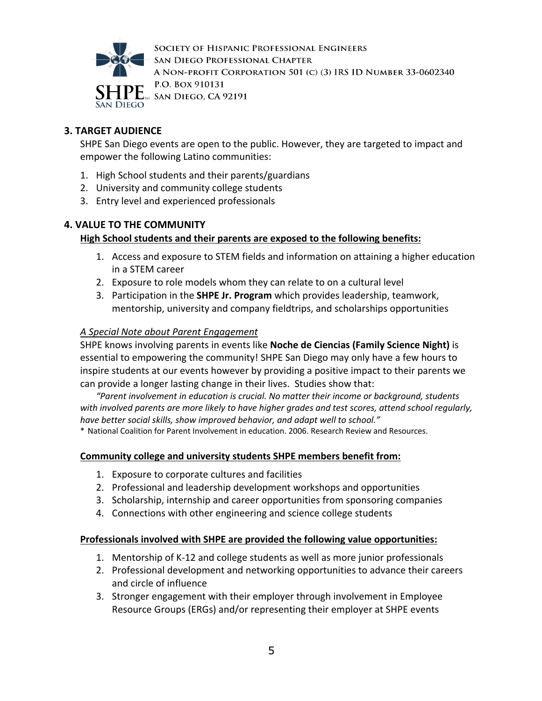

SOCIETY OF HISPANIC PROFESSIONAL ENGINEERS SAN DIEGO PROFESSIONAL CHAPTER A NON-PROFIT CORPORATION 501 (C) (3) IRS ID NUMBER 33-0602340 P.O. BOX 910131  $M$  San Diego, CA 92191

# **3. TARGET AUDIENCE**

SHPE San Diego events are open to the public. However, they are targeted to impact and empower the following Latino communities:

- 1. High School students and their parents/guardians
- 2. University and community college students
- 3. Entry level and experienced professionals

## **4. VALUE TO THE COMMUNITY**

# **High School students and their parents are exposed to the following benefits:**

- 1. Access and exposure to STEM fields and information on attaining a higher education in a STEM career
- 2. Exposure to role models whom they can relate to on a cultural level
- 3. Participation in the **SHPE Jr. Program** which provides leadership, teamwork, mentorship, university and company fieldtrips, and scholarships opportunities

## *A Special Note about Parent Engagement*

SHPE knows involving parents in events like **Noche de Ciencias (Family Science Night)** is essential to empowering the community! SHPE San Diego may only have a few hours to inspire students at our events however by providing a positive impact to their parents we can provide a longer lasting change in their lives. Studies show that:

*"Parent involvement in education is crucial. No matter their income or background, students with involved parents are more likely to have higher grades and test scores, attend school regularly, have better social skills, show improved behavior, and adapt well to school."*

\* National Coalition for Parent Involvement in education. 2006. Research Review and Resources.

## **Community college and university students SHPE members benefit from:**

- 1. Exposure to corporate cultures and facilities
- 2. Professional and leadership development workshops and opportunities
- 3. Scholarship, internship and career opportunities from sponsoring companies
- 4. Connections with other engineering and science college students

## **Professionals involved with SHPE are provided the following value opportunities:**

- 1. Mentorship of K-12 and college students as well as more junior professionals
- 2. Professional development and networking opportunities to advance their careers and circle of influence
- 3. Stronger engagement with their employer through involvement in Employee Resource Groups (ERGs) and/or representing their employer at SHPE events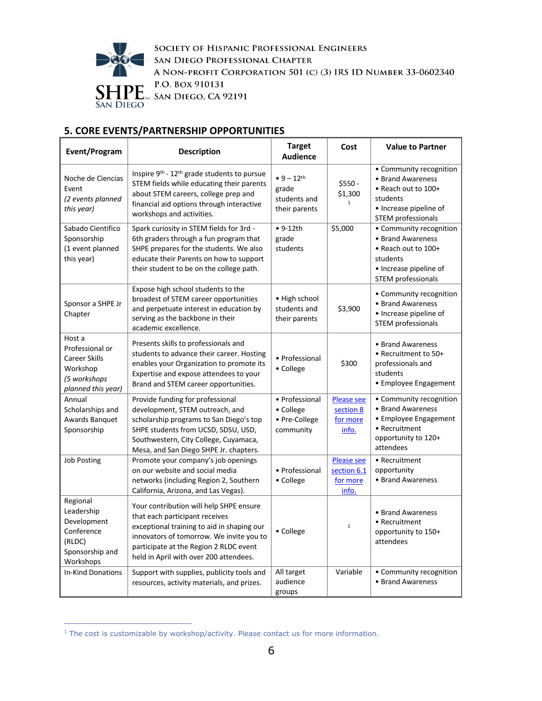

SOCIETY OF HISPANIC PROFESSIONAL ENGINEERS SAN DIEGO PROFESSIONAL CHAPTER A NON-PROFIT CORPORATION 501 (C) (3) IRS ID NUMBER 33-0602340 P.O. BOX 910131  $\left\{ \prod_{\text{SAN}} \prod_{\text{DEGO}} \frac{P.\text{O. Box 910131}}{\text{SAN DIEGO, CA 92191}} \right\}$ 

# **5. CORE EVENTS/PARTNERSHIP OPPORTUNITIES**

| Event/Program                                                                                 | <b>Description</b>                                                                                                                                                                                                                                      | <b>Target</b><br><b>Audience</b>                                   | Cost                                                  | <b>Value to Partner</b>                                                                                                         |
|-----------------------------------------------------------------------------------------------|---------------------------------------------------------------------------------------------------------------------------------------------------------------------------------------------------------------------------------------------------------|--------------------------------------------------------------------|-------------------------------------------------------|---------------------------------------------------------------------------------------------------------------------------------|
| Noche de Ciencias<br>Event<br>(2 events planned<br>this year)                                 | Inspire 9 <sup>th</sup> - 12 <sup>th</sup> grade students to pursue<br>STEM fields while educating their parents<br>about STEM careers, college prep and<br>financial aid options through interactive<br>workshops and activities.                      | $• 9 - 12$ <sup>th</sup><br>grade<br>students and<br>their parents | $$550 -$<br>\$1,300                                   | • Community recognition<br>• Brand Awareness<br>• Reach out to 100+<br>students<br>• Increase pipeline of<br>STEM professionals |
| Sabado Cientifico<br>Sponsorship<br>(1 event planned<br>this year)                            | Spark curiosity in STEM fields for 3rd -<br>6th graders through a fun program that<br>SHPE prepares for the students. We also<br>educate their Parents on how to support<br>their student to be on the college path.                                    | $• 9-12th$<br>grade<br>students                                    | \$5,000                                               | • Community recognition<br>• Brand Awareness<br>• Reach out to 100+<br>students<br>• Increase pipeline of<br>STEM professionals |
| Sponsor a SHPE Jr<br>Chapter                                                                  | Expose high school students to the<br>broadest of STEM career opportunities<br>and perpetuate interest in education by<br>serving as the backbone in their<br>academic excellence.                                                                      | • High school<br>students and<br>their parents                     | \$3,900                                               | • Community recognition<br>• Brand Awareness<br>• Increase pipeline of<br>STEM professionals                                    |
| Host a<br>Professional or<br>Career Skills<br>Workshop<br>(5 workshops<br>planned this year)  | Presents skills to professionals and<br>students to advance their career. Hosting<br>enables your Organization to promote its<br>Expertise and expose attendees to your<br>Brand and STEM career opportunities.                                         | • Professional<br>• College                                        | \$300                                                 | • Brand Awareness<br>• Recruitment to 50+<br>professionals and<br>students<br>• Employee Engagement                             |
| Annual<br>Scholarships and<br>Awards Banquet<br>Sponsorship                                   | Provide funding for professional<br>development, STEM outreach, and<br>scholarship programs to San Diego's top<br>SHPE students from UCSD, SDSU, USD,<br>Southwestern, City College, Cuyamaca,<br>Mesa, and San Diego SHPE Jr. chapters.                | • Professional<br>• College<br>• Pre-College<br>community          | <b>Please see</b><br>section 8<br>for more<br>info.   | • Community recognition<br>• Brand Awareness<br>• Employee Engagement<br>• Recruitment<br>opportunity to 120+<br>attendees      |
| <b>Job Posting</b>                                                                            | Promote your company's job openings<br>on our website and social media<br>networks (including Region 2, Southern<br>California, Arizona, and Las Vegas).                                                                                                | • Professional<br>• College                                        | <b>Please see</b><br>section 6.1<br>for more<br>info. | • Recruitment<br>opportunity<br>• Brand Awareness                                                                               |
| Regional<br>Leadership<br>Development<br>Conference<br>(RLDC)<br>Sponsorship and<br>Workshops | Your contribution will help SHPE ensure<br>that each participant receives<br>exceptional training to aid in shaping our<br>innovators of tomorrow. We invite you to<br>participate at the Region 2 RLDC event<br>held in April with over 200 attendees. | • College                                                          | $\mathbf{1}$                                          | • Brand Awareness<br>• Recruitment<br>opportunity to 150+<br>attendees                                                          |
| <b>In-Kind Donations</b>                                                                      | Support with supplies, publicity tools and<br>resources, activity materials, and prizes.                                                                                                                                                                | All target<br>audience<br>groups                                   | Variable                                              | • Community recognition<br>• Brand Awareness                                                                                    |

<sup>&</sup>lt;sup>1</sup> The cost is customizable by workshop/activity. Please contact us for more information.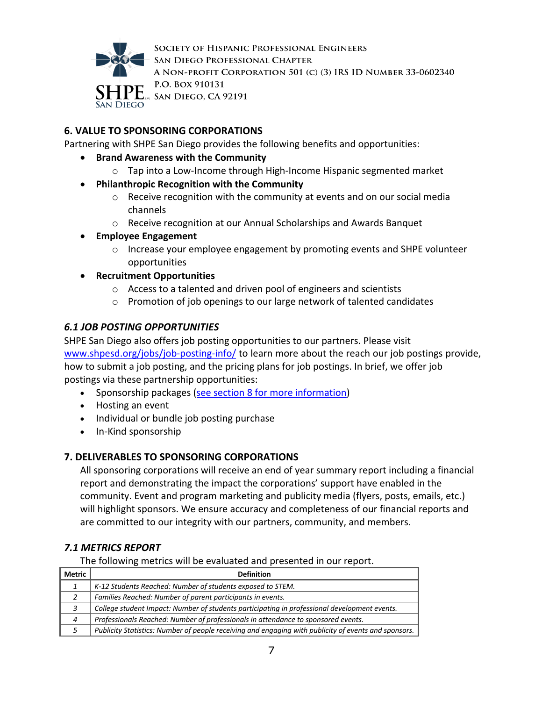

SOCIETY OF HISPANIC PROFESSIONAL ENGINEERS SAN DIEGO PROFESSIONAL CHAPTER A NON-PROFIT CORPORATION 501 (C) (3) IRS ID NUMBER 33-0602340 P.O. BOX 910131  $M$  San Diego, CA 92191

# **6. VALUE TO SPONSORING CORPORATIONS**

Partnering with SHPE San Diego provides the following benefits and opportunities:

- **Brand Awareness with the Community**
	- o Tap into a Low-Income through High-Income Hispanic segmented market
- **Philanthropic Recognition with the Community**
	- o Receive recognition with the community at events and on our social media channels
	- o Receive recognition at our Annual Scholarships and Awards Banquet
- **Employee Engagement**
	- o Increase your employee engagement by promoting events and SHPE volunteer opportunities
- **Recruitment Opportunities**
	- o Access to a talented and driven pool of engineers and scientists
	- o Promotion of job openings to our large network of talented candidates

## *6.1 JOB POSTING OPPORTUNITIES*

SHPE San Diego also offers job posting opportunities to our partners. Please visit www.shpesd.org/jobs/job-posting-info/ to learn more about the reach our job postings provide, how to submit a job posting, and the pricing plans for job postings. In brief, we offer job postings via these partnership opportunities:

- Sponsorship packages (see section 8 for more information)
- Hosting an event
- Individual or bundle job posting purchase
- In-Kind sponsorship

## **7. DELIVERABLES TO SPONSORING CORPORATIONS**

All sponsoring corporations will receive an end of year summary report including a financial report and demonstrating the impact the corporations' support have enabled in the community. Event and program marketing and publicity media (flyers, posts, emails, etc.) will highlight sponsors. We ensure accuracy and completeness of our financial reports and are committed to our integrity with our partners, community, and members.

## *7.1 METRICS REPORT*

The following metrics will be evaluated and presented in our report.

| Metric | <b>Definition</b>                                                                                    |
|--------|------------------------------------------------------------------------------------------------------|
|        | K-12 Students Reached: Number of students exposed to STEM.                                           |
|        | Families Reached: Number of parent participants in events.                                           |
|        | College student Impact: Number of students participating in professional development events.         |
| 4      | Professionals Reached: Number of professionals in attendance to sponsored events.                    |
|        | Publicity Statistics: Number of people receiving and engaging with publicity of events and sponsors. |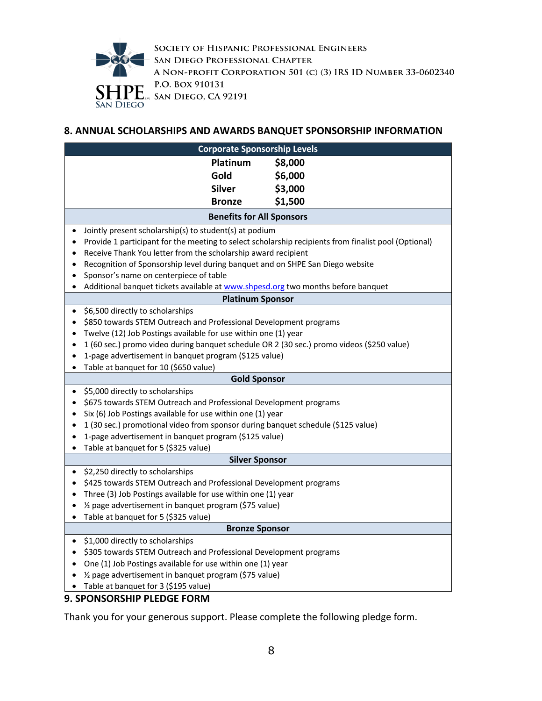

SOCIETY OF HISPANIC PROFESSIONAL ENGINEERS SAN DIEGO PROFESSIONAL CHAPTER A NON-PROFIT CORPORATION 501 (C) (3) IRS ID NUMBER 33-0602340 P.O. BOX 910131  $E_{\text{SM}}$  SAN DIEGO, CA 92191

## **8. ANNUAL SCHOLARSHIPS AND AWARDS BANQUET SPONSORSHIP INFORMATION**

| <b>Corporate Sponsorship Levels</b>                                                                    |                                                                                                                   |         |  |  |  |  |  |
|--------------------------------------------------------------------------------------------------------|-------------------------------------------------------------------------------------------------------------------|---------|--|--|--|--|--|
|                                                                                                        | Platinum                                                                                                          | \$8,000 |  |  |  |  |  |
|                                                                                                        | Gold                                                                                                              | \$6,000 |  |  |  |  |  |
|                                                                                                        | <b>Silver</b>                                                                                                     | \$3,000 |  |  |  |  |  |
|                                                                                                        |                                                                                                                   |         |  |  |  |  |  |
|                                                                                                        | \$1,500<br><b>Bronze</b><br><b>Benefits for All Sponsors</b>                                                      |         |  |  |  |  |  |
|                                                                                                        |                                                                                                                   |         |  |  |  |  |  |
| Jointly present scholarship(s) to student(s) at podium<br>٠                                            |                                                                                                                   |         |  |  |  |  |  |
|                                                                                                        | Provide 1 participant for the meeting to select scholarship recipients from finalist pool (Optional)<br>$\bullet$ |         |  |  |  |  |  |
|                                                                                                        | Receive Thank You letter from the scholarship award recipient                                                     |         |  |  |  |  |  |
|                                                                                                        | Recognition of Sponsorship level during banquet and on SHPE San Diego website<br>٠                                |         |  |  |  |  |  |
| Sponsor's name on centerpiece of table<br>٠                                                            |                                                                                                                   |         |  |  |  |  |  |
|                                                                                                        | Additional banquet tickets available at www.shpesd.org two months before banquet<br>$\bullet$                     |         |  |  |  |  |  |
|                                                                                                        | <b>Platinum Sponsor</b>                                                                                           |         |  |  |  |  |  |
| \$6,500 directly to scholarships<br>$\bullet$                                                          |                                                                                                                   |         |  |  |  |  |  |
| \$850 towards STEM Outreach and Professional Development programs<br>$\bullet$                         |                                                                                                                   |         |  |  |  |  |  |
| Twelve (12) Job Postings available for use within one (1) year                                         |                                                                                                                   |         |  |  |  |  |  |
| 1 (60 sec.) promo video during banquet schedule OR 2 (30 sec.) promo videos (\$250 value)<br>$\bullet$ |                                                                                                                   |         |  |  |  |  |  |
| 1-page advertisement in banquet program (\$125 value)<br>$\bullet$                                     |                                                                                                                   |         |  |  |  |  |  |
| Table at banquet for 10 (\$650 value)<br>$\bullet$                                                     |                                                                                                                   |         |  |  |  |  |  |
|                                                                                                        | <b>Gold Sponsor</b>                                                                                               |         |  |  |  |  |  |
| \$5,000 directly to scholarships<br>$\bullet$                                                          |                                                                                                                   |         |  |  |  |  |  |
| $\bullet$                                                                                              | \$675 towards STEM Outreach and Professional Development programs                                                 |         |  |  |  |  |  |
| Six (6) Job Postings available for use within one (1) year<br>$\bullet$                                |                                                                                                                   |         |  |  |  |  |  |
| 1 (30 sec.) promotional video from sponsor during banquet schedule (\$125 value)<br>$\bullet$          |                                                                                                                   |         |  |  |  |  |  |
| 1-page advertisement in banquet program (\$125 value)                                                  |                                                                                                                   |         |  |  |  |  |  |
| Table at banquet for 5 (\$325 value)<br>$\bullet$                                                      |                                                                                                                   |         |  |  |  |  |  |
| <b>Silver Sponsor</b>                                                                                  |                                                                                                                   |         |  |  |  |  |  |
| \$2,250 directly to scholarships<br>$\bullet$                                                          |                                                                                                                   |         |  |  |  |  |  |
|                                                                                                        | \$425 towards STEM Outreach and Professional Development programs                                                 |         |  |  |  |  |  |
| Three (3) Job Postings available for use within one (1) year                                           |                                                                                                                   |         |  |  |  |  |  |
| 1/2 page advertisement in banquet program (\$75 value)<br>$\bullet$                                    |                                                                                                                   |         |  |  |  |  |  |
| Table at banquet for 5 (\$325 value)<br>$\bullet$                                                      |                                                                                                                   |         |  |  |  |  |  |
| <b>Bronze Sponsor</b>                                                                                  |                                                                                                                   |         |  |  |  |  |  |
| \$1,000 directly to scholarships<br>$\bullet$                                                          |                                                                                                                   |         |  |  |  |  |  |
|                                                                                                        | \$305 towards STEM Outreach and Professional Development programs                                                 |         |  |  |  |  |  |
| One (1) Job Postings available for use within one (1) year                                             |                                                                                                                   |         |  |  |  |  |  |
| 1/2 page advertisement in banquet program (\$75 value)<br>$\bullet$                                    |                                                                                                                   |         |  |  |  |  |  |
| Table at banquet for 3 (\$195 value)<br>$\bullet$                                                      |                                                                                                                   |         |  |  |  |  |  |

# **9. SPONSORSHIP PLEDGE FORM**

Thank you for your generous support. Please complete the following pledge form.